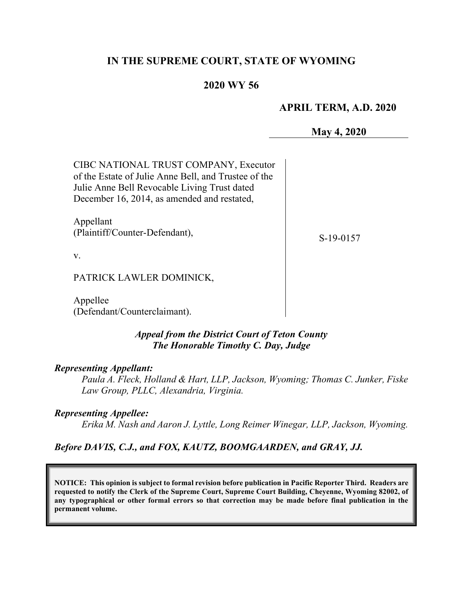# **IN THE SUPREME COURT, STATE OF WYOMING**

## **2020 WY 56**

#### **APRIL TERM, A.D. 2020**

**May 4, 2020**

| CIBC NATIONAL TRUST COMPANY, Executor<br>of the Estate of Julie Anne Bell, and Trustee of the<br>Julie Anne Bell Revocable Living Trust dated<br>December 16, 2014, as amended and restated, |           |
|----------------------------------------------------------------------------------------------------------------------------------------------------------------------------------------------|-----------|
| Appellant<br>(Plaintiff/Counter-Defendant),                                                                                                                                                  | S-19-0157 |
| V.                                                                                                                                                                                           |           |
| PATRICK LAWLER DOMINICK,                                                                                                                                                                     |           |
|                                                                                                                                                                                              |           |

Appellee (Defendant/Counterclaimant).

### *Appeal from the District Court of Teton County The Honorable Timothy C. Day, Judge*

#### *Representing Appellant:*

*Paula A. Fleck, Holland & Hart, LLP, Jackson, Wyoming; Thomas C. Junker, Fiske Law Group, PLLC, Alexandria, Virginia.*

#### *Representing Appellee:*

*Erika M. Nash and Aaron J. Lyttle, Long Reimer Winegar, LLP, Jackson, Wyoming.*

#### *Before DAVIS, C.J., and FOX, KAUTZ, BOOMGAARDEN, and GRAY, JJ.*

**NOTICE: This opinion is subject to formal revision before publication in Pacific Reporter Third. Readers are requested to notify the Clerk of the Supreme Court, Supreme Court Building, Cheyenne, Wyoming 82002, of any typographical or other formal errors so that correction may be made before final publication in the permanent volume.**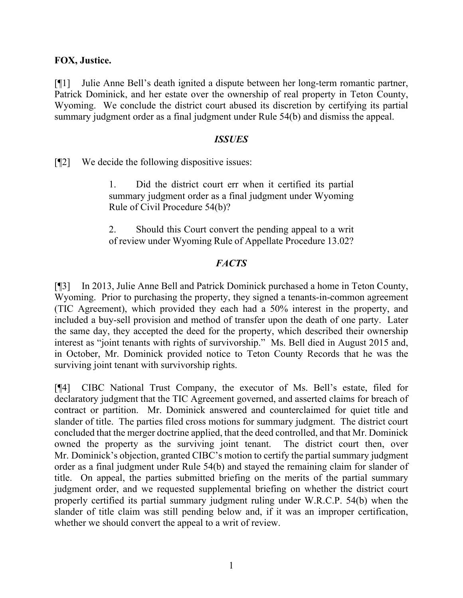### **FOX, Justice.**

[¶1] Julie Anne Bell's death ignited a dispute between her long-term romantic partner, Patrick Dominick, and her estate over the ownership of real property in Teton County, Wyoming. We conclude the district court abused its discretion by certifying its partial summary judgment order as a final judgment under Rule 54(b) and dismiss the appeal.

#### *ISSUES*

[¶2] We decide the following dispositive issues:

1. Did the district court err when it certified its partial summary judgment order as a final judgment under Wyoming Rule of Civil Procedure 54(b)?

2. Should this Court convert the pending appeal to a writ of review under Wyoming Rule of Appellate Procedure 13.02?

## *FACTS*

[¶3] In 2013, Julie Anne Bell and Patrick Dominick purchased a home in Teton County, Wyoming. Prior to purchasing the property, they signed a tenants-in-common agreement (TIC Agreement), which provided they each had a 50% interest in the property, and included a buy-sell provision and method of transfer upon the death of one party. Later the same day, they accepted the deed for the property, which described their ownership interest as "joint tenants with rights of survivorship." Ms. Bell died in August 2015 and, in October, Mr. Dominick provided notice to Teton County Records that he was the surviving joint tenant with survivorship rights.

[¶4] CIBC National Trust Company, the executor of Ms. Bell's estate, filed for declaratory judgment that the TIC Agreement governed, and asserted claims for breach of contract or partition. Mr. Dominick answered and counterclaimed for quiet title and slander of title. The parties filed cross motions for summary judgment. The district court concluded that the merger doctrine applied, that the deed controlled, and that Mr. Dominick owned the property as the surviving joint tenant. The district court then, over Mr. Dominick's objection, granted CIBC's motion to certify the partial summary judgment order as a final judgment under Rule 54(b) and stayed the remaining claim for slander of title. On appeal, the parties submitted briefing on the merits of the partial summary judgment order, and we requested supplemental briefing on whether the district court properly certified its partial summary judgment ruling under W.R.C.P. 54(b) when the slander of title claim was still pending below and, if it was an improper certification, whether we should convert the appeal to a writ of review.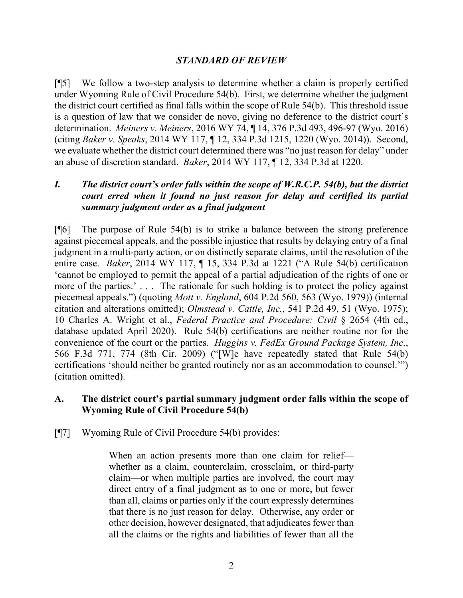## *STANDARD OF REVIEW*

[¶5] We follow a two-step analysis to determine whether a claim is properly certified under Wyoming Rule of Civil Procedure 54(b). First, we determine whether the judgment the district court certified as final falls within the scope of Rule 54(b). This threshold issue is a question of law that we consider de novo, giving no deference to the district court's determination. *Meiners v. Meiners*, 2016 WY 74, ¶ 14, 376 P.3d 493, 496-97 (Wyo. 2016) (citing *Baker v. Speaks*, 2014 WY 117, ¶ 12, 334 P.3d 1215, 1220 (Wyo. 2014)). Second, we evaluate whether the district court determined there was "no just reason for delay" under an abuse of discretion standard. *Baker*, 2014 WY 117, ¶ 12, 334 P.3d at 1220.

## *I. The district court's order falls within the scope of W.R.C.P. 54(b), but the district court erred when it found no just reason for delay and certified its partial summary judgment order as a final judgment*

[¶6] The purpose of Rule 54(b) is to strike a balance between the strong preference against piecemeal appeals, and the possible injustice that results by delaying entry of a final judgment in a multi-party action, or on distinctly separate claims, until the resolution of the entire case. *Baker*, 2014 WY 117, ¶ 15, 334 P.3d at 1221 ("A Rule 54(b) certification 'cannot be employed to permit the appeal of a partial adjudication of the rights of one or more of the parties.'... The rationale for such holding is to protect the policy against piecemeal appeals.") (quoting *Mott v. England*, 604 P.2d 560, 563 (Wyo. 1979)) (internal citation and alterations omitted); *Olmstead v. Cattle, Inc.*, 541 P.2d 49, 51 (Wyo. 1975); 10 Charles A. Wright et al., *Federal Practice and Procedure: Civil* § 2654 (4th ed., database updated April 2020). Rule 54(b) certifications are neither routine nor for the convenience of the court or the parties. *Huggins v. FedEx Ground Package System, Inc*., 566 F.3d 771, 774 (8th Cir. 2009) ("[W]e have repeatedly stated that Rule 54(b) certifications 'should neither be granted routinely nor as an accommodation to counsel.'") (citation omitted).

## **A. The district court's partial summary judgment order falls within the scope of Wyoming Rule of Civil Procedure 54(b)**

[¶7] Wyoming Rule of Civil Procedure 54(b) provides:

When an action presents more than one claim for relief whether as a claim, counterclaim, crossclaim, or third-party claim—or when multiple parties are involved, the court may direct entry of a final judgment as to one or more, but fewer than all, claims or parties only if the court expressly determines that there is no just reason for delay. Otherwise, any order or other decision, however designated, that adjudicates fewer than all the claims or the rights and liabilities of fewer than all the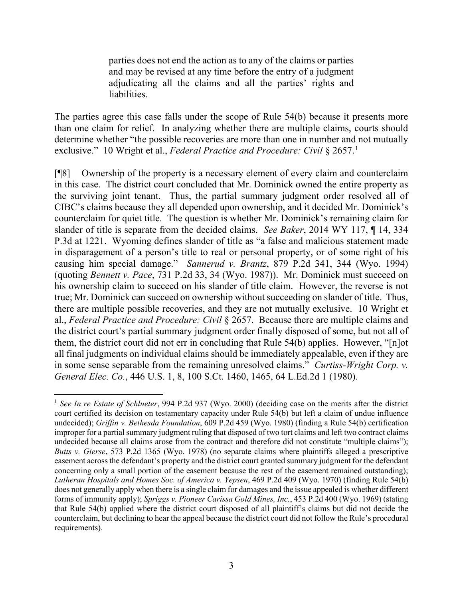parties does not end the action as to any of the claims or parties and may be revised at any time before the entry of a judgment adjudicating all the claims and all the parties' rights and liabilities.

The parties agree this case falls under the scope of Rule 54(b) because it presents more than one claim for relief. In analyzing whether there are multiple claims, courts should determine whether "the possible recoveries are more than one in number and not mutually exclusive." 10 Wright et al., *Federal Practice and Procedure: Civil* § 2657. [1](#page-3-0)

[¶8] Ownership of the property is a necessary element of every claim and counterclaim in this case. The district court concluded that Mr. Dominick owned the entire property as the surviving joint tenant. Thus, the partial summary judgment order resolved all of CIBC's claims because they all depended upon ownership, and it decided Mr. Dominick's counterclaim for quiet title. The question is whether Mr. Dominick's remaining claim for slander of title is separate from the decided claims. *See Baker*, 2014 WY 117, ¶ 14, 334 P.3d at 1221. Wyoming defines slander of title as "a false and malicious statement made in disparagement of a person's title to real or personal property, or of some right of his causing him special damage." *Sannerud v. Brantz*, 879 P.2d 341, 344 (Wyo. 1994) (quoting *Bennett v. Pace*, 731 P.2d 33, 34 (Wyo. 1987)). Mr. Dominick must succeed on his ownership claim to succeed on his slander of title claim. However, the reverse is not true; Mr. Dominick can succeed on ownership without succeeding on slander of title. Thus, there are multiple possible recoveries, and they are not mutually exclusive. 10 Wright et al., *Federal Practice and Procedure: Civil* § 2657. Because there are multiple claims and the district court's partial summary judgment order finally disposed of some, but not all of them, the district court did not err in concluding that Rule 54(b) applies. However, "[n]ot all final judgments on individual claims should be immediately appealable, even if they are in some sense separable from the remaining unresolved claims." *Curtiss-Wright Corp. v. General Elec. Co.*, 446 U.S. 1, 8, 100 S.Ct. 1460, 1465, 64 L.Ed.2d 1 (1980).

<span id="page-3-0"></span><sup>&</sup>lt;sup>1</sup> See In re Estate of Schlueter, 994 P.2d 937 (Wyo. 2000) (deciding case on the merits after the district court certified its decision on testamentary capacity under Rule 54(b) but left a claim of undue influence undecided); *Griffin v. Bethesda Foundation*, 609 P.2d 459 (Wyo. 1980) (finding a Rule 54(b) certification improper for a partial summary judgment ruling that disposed of two tort claims and left two contract claims undecided because all claims arose from the contract and therefore did not constitute "multiple claims"); *Butts v. Gierse*, 573 P.2d 1365 (Wyo. 1978) (no separate claims where plaintiffs alleged a prescriptive easement across the defendant's property and the district court granted summary judgment for the defendant concerning only a small portion of the easement because the rest of the easement remained outstanding); *Lutheran Hospitals and Homes Soc. of America v. Yepsen*, 469 P.2d 409 (Wyo. 1970) (finding Rule 54(b) does not generally apply when there is a single claim for damages and the issue appealed is whether different forms of immunity apply); *Spriggs v. Pioneer Carissa Gold Mines, Inc.*, 453 P.2d 400 (Wyo. 1969) (stating that Rule 54(b) applied where the district court disposed of all plaintiff's claims but did not decide the counterclaim, but declining to hear the appeal because the district court did not follow the Rule's procedural requirements).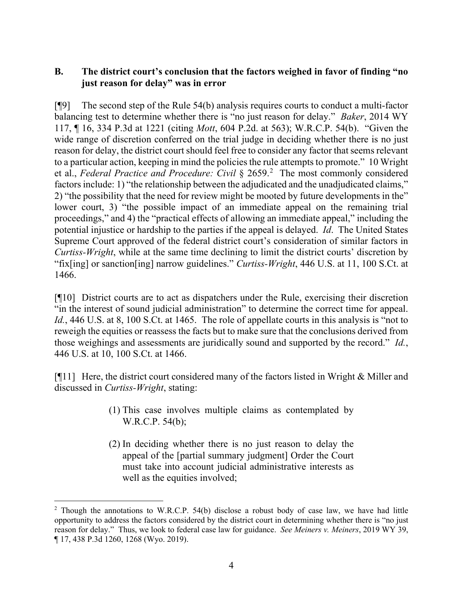## **B. The district court's conclusion that the factors weighed in favor of finding "no just reason for delay" was in error**

[¶9] The second step of the Rule 54(b) analysis requires courts to conduct a multi-factor balancing test to determine whether there is "no just reason for delay." *Baker*, 2014 WY 117, ¶ 16, 334 P.3d at 1221 (citing *Mott*, 604 P.2d. at 563); W.R.C.P. 54(b). "Given the wide range of discretion conferred on the trial judge in deciding whether there is no just reason for delay, the district court should feel free to consider any factor that seems relevant to a particular action, keeping in mind the policies the rule attempts to promote." 10 Wright et al., *Federal Practice and Procedure: Civil* § 2659. [2](#page-4-0) The most commonly considered factors include: 1) "the relationship between the adjudicated and the unadjudicated claims," 2) "the possibility that the need for review might be mooted by future developments in the" lower court, 3) "the possible impact of an immediate appeal on the remaining trial proceedings," and 4) the "practical effects of allowing an immediate appeal," including the potential injustice or hardship to the parties if the appeal is delayed. *Id*. The United States Supreme Court approved of the federal district court's consideration of similar factors in *Curtiss-Wright*, while at the same time declining to limit the district courts' discretion by "fix[ing] or sanction[ing] narrow guidelines." *Curtiss-Wright*, 446 U.S. at 11, 100 S.Ct. at 1466.

[¶10] District courts are to act as dispatchers under the Rule, exercising their discretion "in the interest of sound judicial administration" to determine the correct time for appeal. Id., 446 U.S. at 8, 100 S.Ct. at 1465. The role of appellate courts in this analysis is "not to reweigh the equities or reassess the facts but to make sure that the conclusions derived from those weighings and assessments are juridically sound and supported by the record." *Id.*, 446 U.S. at 10, 100 S.Ct. at 1466.

[¶11] Here, the district court considered many of the factors listed in Wright & Miller and discussed in *Curtiss-Wright*, stating:

- (1) This case involves multiple claims as contemplated by W.R.C.P. 54(b);
- (2) In deciding whether there is no just reason to delay the appeal of the [partial summary judgment] Order the Court must take into account judicial administrative interests as well as the equities involved;

<span id="page-4-0"></span><sup>&</sup>lt;sup>2</sup> Though the annotations to W.R.C.P. 54(b) disclose a robust body of case law, we have had little opportunity to address the factors considered by the district court in determining whether there is "no just reason for delay." Thus, we look to federal case law for guidance. *See Meiners v. Meiners*, 2019 WY 39, ¶ 17, 438 P.3d 1260, 1268 (Wyo. 2019).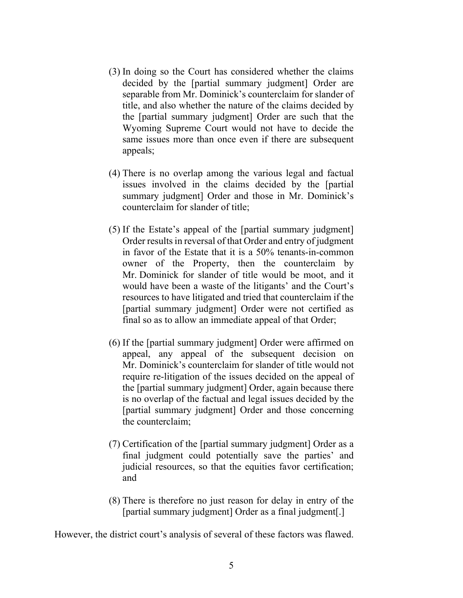- (3) In doing so the Court has considered whether the claims decided by the [partial summary judgment] Order are separable from Mr. Dominick's counterclaim for slander of title, and also whether the nature of the claims decided by the [partial summary judgment] Order are such that the Wyoming Supreme Court would not have to decide the same issues more than once even if there are subsequent appeals;
- (4) There is no overlap among the various legal and factual issues involved in the claims decided by the [partial summary judgment] Order and those in Mr. Dominick's counterclaim for slander of title;
- (5) If the Estate's appeal of the [partial summary judgment] Order results in reversal of that Order and entry of judgment in favor of the Estate that it is a 50% tenants-in-common owner of the Property, then the counterclaim by Mr. Dominick for slander of title would be moot, and it would have been a waste of the litigants' and the Court's resources to have litigated and tried that counterclaim if the [partial summary judgment] Order were not certified as final so as to allow an immediate appeal of that Order;
- (6) If the [partial summary judgment] Order were affirmed on appeal, any appeal of the subsequent decision on Mr. Dominick's counterclaim for slander of title would not require re-litigation of the issues decided on the appeal of the [partial summary judgment] Order, again because there is no overlap of the factual and legal issues decided by the [partial summary judgment] Order and those concerning the counterclaim;
- (7) Certification of the [partial summary judgment] Order as a final judgment could potentially save the parties' and judicial resources, so that the equities favor certification; and
- (8) There is therefore no just reason for delay in entry of the [partial summary judgment] Order as a final judgment[.]

However, the district court's analysis of several of these factors was flawed.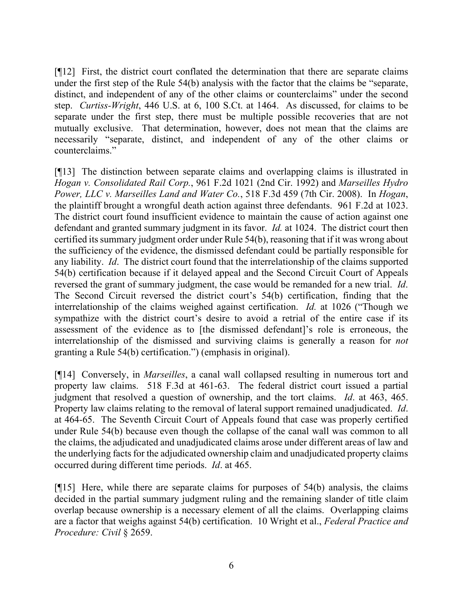[¶12] First, the district court conflated the determination that there are separate claims under the first step of the Rule 54(b) analysis with the factor that the claims be "separate, distinct, and independent of any of the other claims or counterclaims" under the second step. *Curtiss-Wright*, 446 U.S. at 6, 100 S.Ct. at 1464. As discussed, for claims to be separate under the first step, there must be multiple possible recoveries that are not mutually exclusive. That determination, however, does not mean that the claims are necessarily "separate, distinct, and independent of any of the other claims or counterclaims."

[¶13] The distinction between separate claims and overlapping claims is illustrated in *Hogan v. Consolidated Rail Corp.*, 961 F.2d 1021 (2nd Cir. 1992) and *Marseilles Hydro Power, LLC v. Marseilles Land and Water Co.*, 518 F.3d 459 (7th Cir. 2008). In *Hogan*, the plaintiff brought a wrongful death action against three defendants. 961 F.2d at 1023. The district court found insufficient evidence to maintain the cause of action against one defendant and granted summary judgment in its favor. *Id.* at 1024. The district court then certified its summary judgment order under Rule 54(b), reasoning that if it was wrong about the sufficiency of the evidence, the dismissed defendant could be partially responsible for any liability. *Id*.The district court found that the interrelationship of the claims supported 54(b) certification because if it delayed appeal and the Second Circuit Court of Appeals reversed the grant of summary judgment, the case would be remanded for a new trial. *Id*. The Second Circuit reversed the district court's 54(b) certification, finding that the interrelationship of the claims weighed against certification. *Id.* at 1026 ("Though we sympathize with the district court's desire to avoid a retrial of the entire case if its assessment of the evidence as to [the dismissed defendant]'s role is erroneous, the interrelationship of the dismissed and surviving claims is generally a reason for *not*  granting a Rule 54(b) certification.") (emphasis in original).

[¶14] Conversely, in *Marseilles*, a canal wall collapsed resulting in numerous tort and property law claims. 518 F.3d at 461-63. The federal district court issued a partial judgment that resolved a question of ownership, and the tort claims. *Id*. at 463, 465. Property law claims relating to the removal of lateral support remained unadjudicated. *Id*. at 464-65. The Seventh Circuit Court of Appeals found that case was properly certified under Rule 54(b) because even though the collapse of the canal wall was common to all the claims, the adjudicated and unadjudicated claims arose under different areas of law and the underlying facts for the adjudicated ownership claim and unadjudicated property claims occurred during different time periods. *Id*. at 465.

[¶15] Here, while there are separate claims for purposes of 54(b) analysis, the claims decided in the partial summary judgment ruling and the remaining slander of title claim overlap because ownership is a necessary element of all the claims. Overlapping claims are a factor that weighs against 54(b) certification. 10 Wright et al., *Federal Practice and Procedure: Civil* § 2659.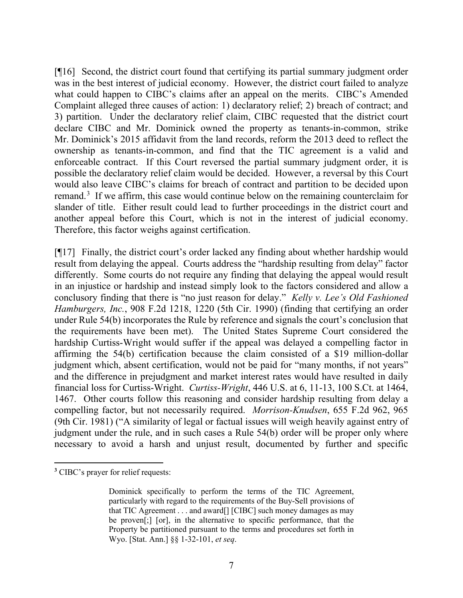[¶16] Second, the district court found that certifying its partial summary judgment order was in the best interest of judicial economy. However, the district court failed to analyze what could happen to CIBC's claims after an appeal on the merits. CIBC's Amended Complaint alleged three causes of action: 1) declaratory relief; 2) breach of contract; and 3) partition. Under the declaratory relief claim, CIBC requested that the district court declare CIBC and Mr. Dominick owned the property as tenants-in-common, strike Mr. Dominick's 2015 affidavit from the land records, reform the 2013 deed to reflect the ownership as tenants-in-common, and find that the TIC agreement is a valid and enforceable contract. If this Court reversed the partial summary judgment order, it is possible the declaratory relief claim would be decided. However, a reversal by this Court would also leave CIBC's claims for breach of contract and partition to be decided upon remand.<sup>[3](#page-7-0)</sup> If we affirm, this case would continue below on the remaining counterclaim for slander of title. Either result could lead to further proceedings in the district court and another appeal before this Court, which is not in the interest of judicial economy. Therefore, this factor weighs against certification.

[¶17] Finally, the district court's order lacked any finding about whether hardship would result from delaying the appeal. Courts address the "hardship resulting from delay" factor differently. Some courts do not require any finding that delaying the appeal would result in an injustice or hardship and instead simply look to the factors considered and allow a conclusory finding that there is "no just reason for delay." *Kelly v. Lee's Old Fashioned Hamburgers, Inc.*, 908 F.2d 1218, 1220 (5th Cir. 1990) (finding that certifying an order under Rule 54(b) incorporates the Rule by reference and signals the court's conclusion that the requirements have been met). The United States Supreme Court considered the hardship Curtiss-Wright would suffer if the appeal was delayed a compelling factor in affirming the 54(b) certification because the claim consisted of a \$19 million-dollar judgment which, absent certification, would not be paid for "many months, if not years" and the difference in prejudgment and market interest rates would have resulted in daily financial loss for Curtiss-Wright. *Curtiss-Wright*, 446 U.S. at 6, 11-13, 100 S.Ct. at 1464, 1467. Other courts follow this reasoning and consider hardship resulting from delay a compelling factor, but not necessarily required. *Morrison-Knudsen*, 655 F.2d 962, 965 (9th Cir. 1981) ("A similarity of legal or factual issues will weigh heavily against entry of judgment under the rule, and in such cases a Rule 54(b) order will be proper only where necessary to avoid a harsh and unjust result, documented by further and specific

<span id="page-7-0"></span>**<sup>3</sup>** CIBC's prayer for relief requests:

Dominick specifically to perform the terms of the TIC Agreement, particularly with regard to the requirements of the Buy-Sell provisions of that TIC Agreement . . . and award[] [CIBC] such money damages as may be proven[;] [or], in the alternative to specific performance, that the Property be partitioned pursuant to the terms and procedures set forth in Wyo. [Stat. Ann.] §§ 1-32-101, *et seq*.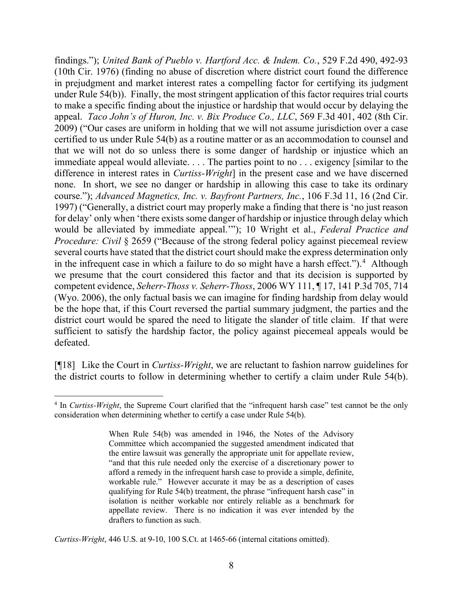findings."); *United Bank of Pueblo v. Hartford Acc. & Indem. Co.*, 529 F.2d 490, 492-93 (10th Cir. 1976) (finding no abuse of discretion where district court found the difference in prejudgment and market interest rates a compelling factor for certifying its judgment under Rule 54(b)). Finally, the most stringent application of this factor requires trial courts to make a specific finding about the injustice or hardship that would occur by delaying the appeal. *Taco John's of Huron, Inc. v. Bix Produce Co., LLC*, 569 F.3d 401, 402 (8th Cir. 2009) ("Our cases are uniform in holding that we will not assume jurisdiction over a case certified to us under Rule 54(b) as a routine matter or as an accommodation to counsel and that we will not do so unless there is some danger of hardship or injustice which an immediate appeal would alleviate. . . . The parties point to no . . . exigency [similar to the difference in interest rates in *Curtiss-Wright*] in the present case and we have discerned none. In short, we see no danger or hardship in allowing this case to take its ordinary course."); *Advanced Magnetics, Inc. v. Bayfront Partners, Inc.*, 106 F.3d 11, 16 (2nd Cir. 1997) ("Generally, a district court may properly make a finding that there is 'no just reason for delay' only when 'there exists some danger of hardship or injustice through delay which would be alleviated by immediate appeal.'"); 10 Wright et al., *Federal Practice and Procedure: Civil* § 2659 ("Because of the strong federal policy against piecemeal review several courts have stated that the district court should make the express determination only in the infrequent case in which a failure to do so might have a harsh effect.").<sup>[4](#page-8-0)</sup> Although we presume that the court considered this factor and that its decision is supported by competent evidence, *Seherr-Thoss v. Seherr-Thoss*, 2006 WY 111, ¶ 17, 141 P.3d 705, 714 (Wyo. 2006), the only factual basis we can imagine for finding hardship from delay would be the hope that, if this Court reversed the partial summary judgment, the parties and the district court would be spared the need to litigate the slander of title claim. If that were sufficient to satisfy the hardship factor, the policy against piecemeal appeals would be defeated.

[¶18] Like the Court in *Curtiss-Wright*, we are reluctant to fashion narrow guidelines for the district courts to follow in determining whether to certify a claim under Rule 54(b).

*Curtiss-Wright*, 446 U.S. at 9-10, 100 S.Ct. at 1465-66 (internal citations omitted).

<span id="page-8-0"></span><sup>4</sup> In *Curtiss-Wright*, the Supreme Court clarified that the "infrequent harsh case" test cannot be the only consideration when determining whether to certify a case under Rule 54(b).

When Rule 54(b) was amended in 1946, the Notes of the Advisory Committee which accompanied the suggested amendment indicated that the entire lawsuit was generally the appropriate unit for appellate review, "and that this rule needed only the exercise of a discretionary power to afford a remedy in the infrequent harsh case to provide a simple, definite, workable rule." However accurate it may be as a description of cases qualifying for Rule 54(b) treatment, the phrase "infrequent harsh case" in isolation is neither workable nor entirely reliable as a benchmark for appellate review. There is no indication it was ever intended by the drafters to function as such.